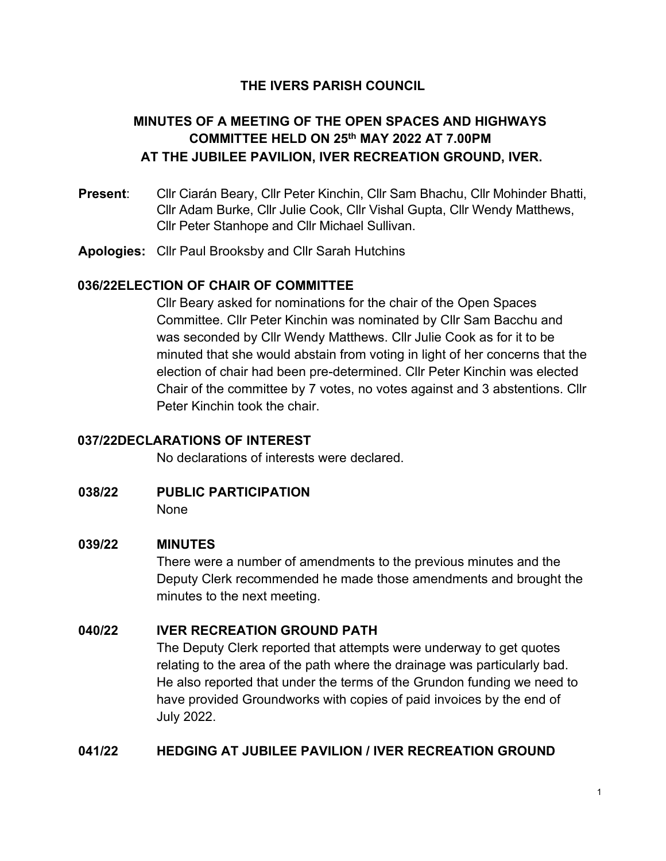## **THE IVERS PARISH COUNCIL**

# **MINUTES OF A MEETING OF THE OPEN SPACES AND HIGHWAYS COMMITTEE HELD ON 25th MAY 2022 AT 7.00PM AT THE JUBILEE PAVILION, IVER RECREATION GROUND, IVER.**

- **Present**: Cllr Ciarán Beary, Cllr Peter Kinchin, Cllr Sam Bhachu, Cllr Mohinder Bhatti, Cllr Adam Burke, Cllr Julie Cook, Cllr Vishal Gupta, Cllr Wendy Matthews, Cllr Peter Stanhope and Cllr Michael Sullivan.
- **Apologies:** Cllr Paul Brooksby and Cllr Sarah Hutchins

### **036/22ELECTION OF CHAIR OF COMMITTEE**

Cllr Beary asked for nominations for the chair of the Open Spaces Committee. Cllr Peter Kinchin was nominated by Cllr Sam Bacchu and was seconded by Cllr Wendy Matthews. Cllr Julie Cook as for it to be minuted that she would abstain from voting in light of her concerns that the election of chair had been pre-determined. Cllr Peter Kinchin was elected Chair of the committee by 7 votes, no votes against and 3 abstentions. Cllr Peter Kinchin took the chair.

### **037/22DECLARATIONS OF INTEREST**

No declarations of interests were declared.

**038/22 PUBLIC PARTICIPATION** None

### **039/22 MINUTES**

There were a number of amendments to the previous minutes and the Deputy Clerk recommended he made those amendments and brought the minutes to the next meeting.

### **040/22 IVER RECREATION GROUND PATH**

The Deputy Clerk reported that attempts were underway to get quotes relating to the area of the path where the drainage was particularly bad. He also reported that under the terms of the Grundon funding we need to have provided Groundworks with copies of paid invoices by the end of July 2022.

### **041/22 HEDGING AT JUBILEE PAVILION / IVER RECREATION GROUND**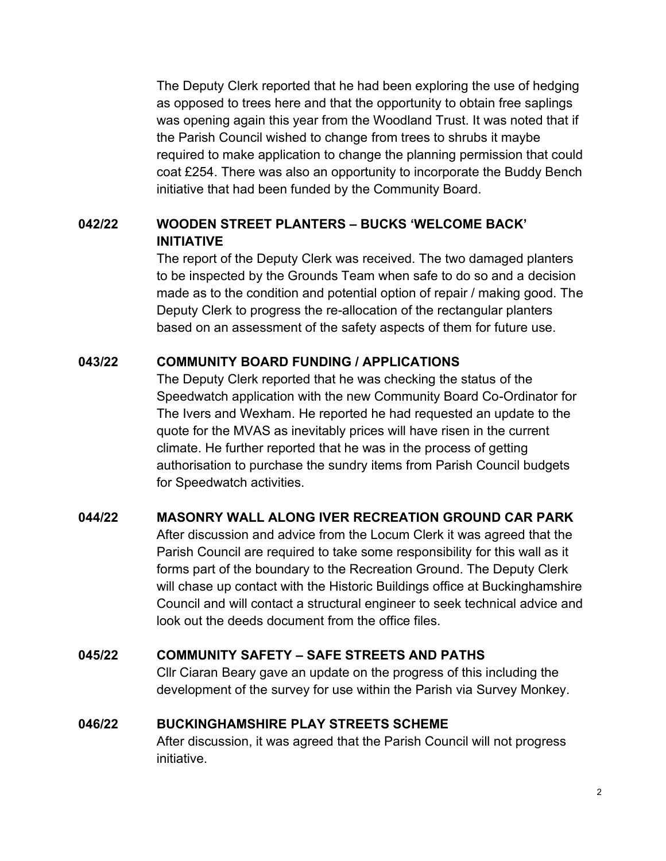The Deputy Clerk reported that he had been exploring the use of hedging as opposed to trees here and that the opportunity to obtain free saplings was opening again this year from the Woodland Trust. It was noted that if the Parish Council wished to change from trees to shrubs it maybe required to make application to change the planning permission that could coat £254. There was also an opportunity to incorporate the Buddy Bench initiative that had been funded by the Community Board.

## **042/22 WOODEN STREET PLANTERS – BUCKS 'WELCOME BACK' INITIATIVE**

The report of the Deputy Clerk was received. The two damaged planters to be inspected by the Grounds Team when safe to do so and a decision made as to the condition and potential option of repair / making good. The Deputy Clerk to progress the re-allocation of the rectangular planters based on an assessment of the safety aspects of them for future use.

### **043/22 COMMUNITY BOARD FUNDING / APPLICATIONS**

The Deputy Clerk reported that he was checking the status of the Speedwatch application with the new Community Board Co-Ordinator for The Ivers and Wexham. He reported he had requested an update to the quote for the MVAS as inevitably prices will have risen in the current climate. He further reported that he was in the process of getting authorisation to purchase the sundry items from Parish Council budgets for Speedwatch activities.

## **044/22 MASONRY WALL ALONG IVER RECREATION GROUND CAR PARK**

After discussion and advice from the Locum Clerk it was agreed that the Parish Council are required to take some responsibility for this wall as it forms part of the boundary to the Recreation Ground. The Deputy Clerk will chase up contact with the Historic Buildings office at Buckinghamshire Council and will contact a structural engineer to seek technical advice and look out the deeds document from the office files.

## **045/22 COMMUNITY SAFETY – SAFE STREETS AND PATHS**

Cllr Ciaran Beary gave an update on the progress of this including the development of the survey for use within the Parish via Survey Monkey.

### **046/22 BUCKINGHAMSHIRE PLAY STREETS SCHEME**

After discussion, it was agreed that the Parish Council will not progress initiative.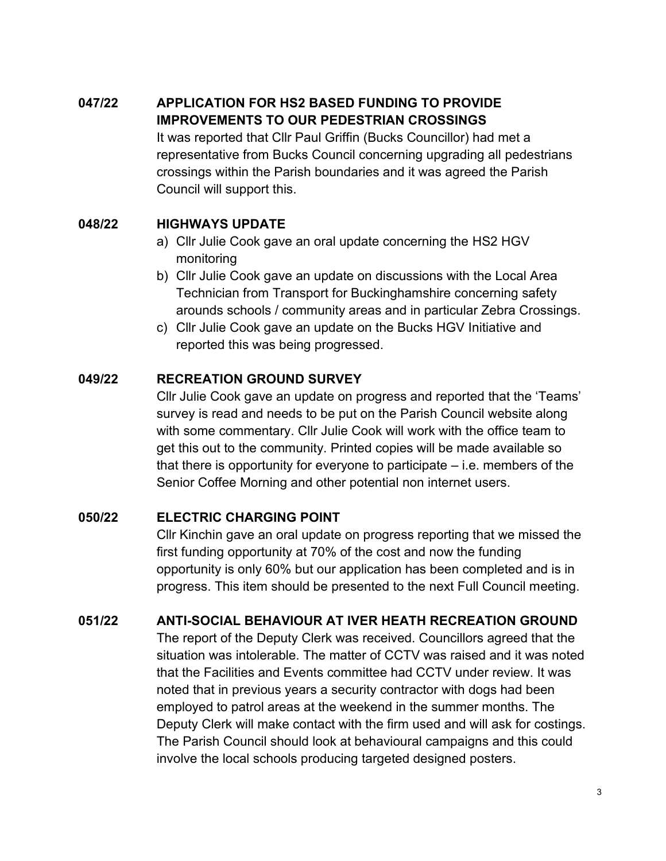# **047/22 APPLICATION FOR HS2 BASED FUNDING TO PROVIDE IMPROVEMENTS TO OUR PEDESTRIAN CROSSINGS**

It was reported that Cllr Paul Griffin (Bucks Councillor) had met a representative from Bucks Council concerning upgrading all pedestrians crossings within the Parish boundaries and it was agreed the Parish Council will support this.

## **048/22 HIGHWAYS UPDATE**

- a) Cllr Julie Cook gave an oral update concerning the HS2 HGV monitoring
- b) Cllr Julie Cook gave an update on discussions with the Local Area Technician from Transport for Buckinghamshire concerning safety arounds schools / community areas and in particular Zebra Crossings.
- c) Cllr Julie Cook gave an update on the Bucks HGV Initiative and reported this was being progressed.

## **049/22 RECREATION GROUND SURVEY**

Cllr Julie Cook gave an update on progress and reported that the 'Teams' survey is read and needs to be put on the Parish Council website along with some commentary. Cllr Julie Cook will work with the office team to get this out to the community. Printed copies will be made available so that there is opportunity for everyone to participate – i.e. members of the Senior Coffee Morning and other potential non internet users.

## **050/22 ELECTRIC CHARGING POINT**

Cllr Kinchin gave an oral update on progress reporting that we missed the first funding opportunity at 70% of the cost and now the funding opportunity is only 60% but our application has been completed and is in progress. This item should be presented to the next Full Council meeting.

# **051/22 ANTI-SOCIAL BEHAVIOUR AT IVER HEATH RECREATION GROUND**

The report of the Deputy Clerk was received. Councillors agreed that the situation was intolerable. The matter of CCTV was raised and it was noted that the Facilities and Events committee had CCTV under review. It was noted that in previous years a security contractor with dogs had been employed to patrol areas at the weekend in the summer months. The Deputy Clerk will make contact with the firm used and will ask for costings. The Parish Council should look at behavioural campaigns and this could involve the local schools producing targeted designed posters.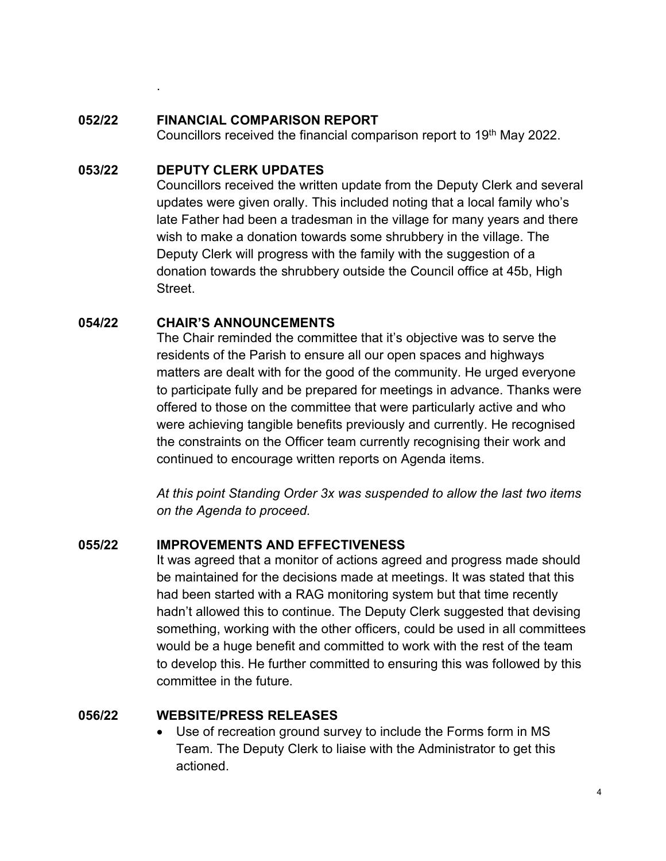### **052/22 FINANCIAL COMPARISON REPORT**

Councillors received the financial comparison report to 19<sup>th</sup> May 2022.

### **053/22 DEPUTY CLERK UPDATES**

.

Councillors received the written update from the Deputy Clerk and several updates were given orally. This included noting that a local family who's late Father had been a tradesman in the village for many years and there wish to make a donation towards some shrubbery in the village. The Deputy Clerk will progress with the family with the suggestion of a donation towards the shrubbery outside the Council office at 45b, High Street.

## **054/22 CHAIR'S ANNOUNCEMENTS**

The Chair reminded the committee that it's objective was to serve the residents of the Parish to ensure all our open spaces and highways matters are dealt with for the good of the community. He urged everyone to participate fully and be prepared for meetings in advance. Thanks were offered to those on the committee that were particularly active and who were achieving tangible benefits previously and currently. He recognised the constraints on the Officer team currently recognising their work and continued to encourage written reports on Agenda items.

*At this point Standing Order 3x was suspended to allow the last two items on the Agenda to proceed.*

## **055/22 IMPROVEMENTS AND EFFECTIVENESS**

It was agreed that a monitor of actions agreed and progress made should be maintained for the decisions made at meetings. It was stated that this had been started with a RAG monitoring system but that time recently hadn't allowed this to continue. The Deputy Clerk suggested that devising something, working with the other officers, could be used in all committees would be a huge benefit and committed to work with the rest of the team to develop this. He further committed to ensuring this was followed by this committee in the future.

## **056/22 WEBSITE/PRESS RELEASES**

Use of recreation ground survey to include the Forms form in MS Team. The Deputy Clerk to liaise with the Administrator to get this actioned.